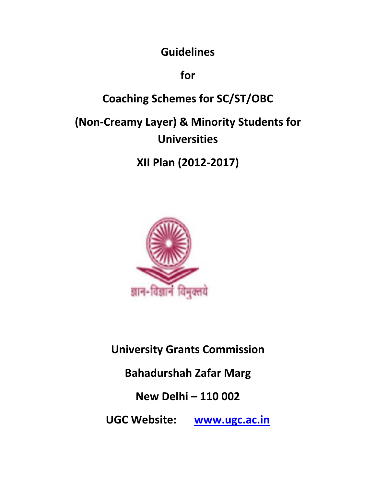**Guidelines** 

**for** 

# **Coaching Schemes for SC/ST/OBC**

# **(Non-Creamy Layer) & Minority Students for Universities**

**XII Plan (2012-2017)** 



# **University Grants Commission**

# **Bahadurshah Zafar Marg**

# **New Delhi – 110 002**

**UGC Website: www.ugc.ac.in**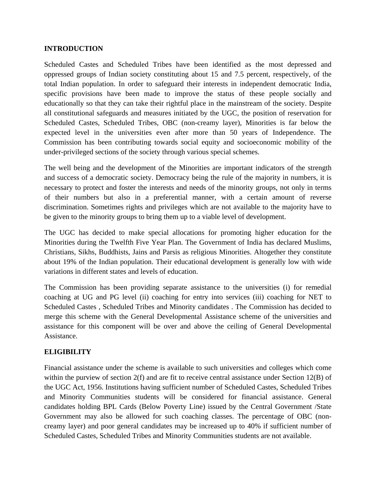#### **INTRODUCTION**

Scheduled Castes and Scheduled Tribes have been identified as the most depressed and oppressed groups of Indian society constituting about 15 and 7.5 percent, respectively, of the total Indian population. In order to safeguard their interests in independent democratic India, specific provisions have been made to improve the status of these people socially and educationally so that they can take their rightful place in the mainstream of the society. Despite all constitutional safeguards and measures initiated by the UGC, the position of reservation for Scheduled Castes, Scheduled Tribes, OBC (non-creamy layer), Minorities is far below the expected level in the universities even after more than 50 years of Independence. The Commission has been contributing towards social equity and socioeconomic mobility of the under-privileged sections of the society through various special schemes.

The well being and the development of the Minorities are important indicators of the strength and success of a democratic society. Democracy being the rule of the majority in numbers, it is necessary to protect and foster the interests and needs of the minority groups, not only in terms of their numbers but also in a preferential manner, with a certain amount of reverse discrimination. Sometimes rights and privileges which are not available to the majority have to be given to the minority groups to bring them up to a viable level of development.

The UGC has decided to make special allocations for promoting higher education for the Minorities during the Twelfth Five Year Plan. The Government of India has declared Muslims, Christians, Sikhs, Buddhists, Jains and Parsis as religious Minorities. Altogether they constitute about 19% of the Indian population. Their educational development is generally low with wide variations in different states and levels of education.

The Commission has been providing separate assistance to the universities (i) for remedial coaching at UG and PG level (ii) coaching for entry into services (iii) coaching for NET to Scheduled Castes , Scheduled Tribes and Minority candidates . The Commission has decided to merge this scheme with the General Developmental Assistance scheme of the universities and assistance for this component will be over and above the ceiling of General Developmental **Assistance** 

### **ELIGIBILITY**

Financial assistance under the scheme is available to such universities and colleges which come within the purview of section 2(f) and are fit to receive central assistance under Section 12(B) of the UGC Act, 1956. Institutions having sufficient number of Scheduled Castes, Scheduled Tribes and Minority Communities students will be considered for financial assistance. General candidates holding BPL Cards (Below Poverty Line) issued by the Central Government /State Government may also be allowed for such coaching classes. The percentage of OBC (noncreamy layer) and poor general candidates may be increased up to 40% if sufficient number of Scheduled Castes, Scheduled Tribes and Minority Communities students are not available.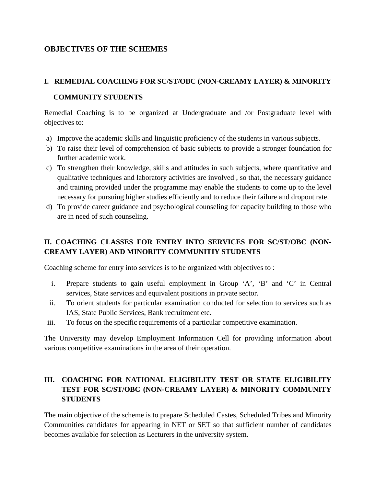## **OBJECTIVES OF THE SCHEMES**

# **I. REMEDIAL COACHING FOR SC/ST/OBC (NON-CREAMY LAYER) & MINORITY COMMUNITY STUDENTS**

Remedial Coaching is to be organized at Undergraduate and /or Postgraduate level with objectives to:

- a) Improve the academic skills and linguistic proficiency of the students in various subjects.
- b) To raise their level of comprehension of basic subjects to provide a stronger foundation for further academic work.
- c) To strengthen their knowledge, skills and attitudes in such subjects, where quantitative and qualitative techniques and laboratory activities are involved , so that, the necessary guidance and training provided under the programme may enable the students to come up to the level necessary for pursuing higher studies efficiently and to reduce their failure and dropout rate.
- d) To provide career guidance and psychological counseling for capacity building to those who are in need of such counseling.

## **II. COACHING CLASSES FOR ENTRY INTO SERVICES FOR SC/ST/OBC (NON-CREAMY LAYER) AND MINORITY COMMUNITIY STUDENTS**

Coaching scheme for entry into services is to be organized with objectives to :

- i. Prepare students to gain useful employment in Group 'A', 'B' and 'C' in Central services, State services and equivalent positions in private sector.
- ii. To orient students for particular examination conducted for selection to services such as IAS, State Public Services, Bank recruitment etc.
- iii. To focus on the specific requirements of a particular competitive examination.

The University may develop Employment Information Cell for providing information about various competitive examinations in the area of their operation.

## **III. COACHING FOR NATIONAL ELIGIBILITY TEST OR STATE ELIGIBILITY TEST FOR SC/ST/OBC (NON-CREAMY LAYER) & MINORITY COMMUNITY STUDENTS**

The main objective of the scheme is to prepare Scheduled Castes, Scheduled Tribes and Minority Communities candidates for appearing in NET or SET so that sufficient number of candidates becomes available for selection as Lecturers in the university system.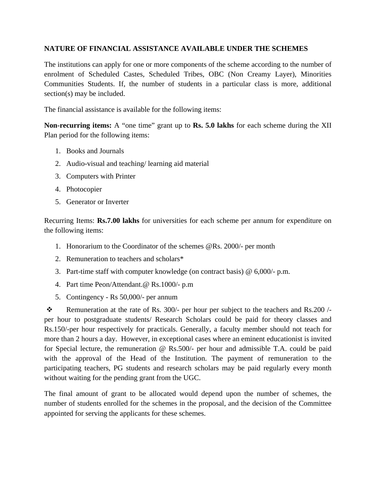#### **NATURE OF FINANCIAL ASSISTANCE AVAILABLE UNDER THE SCHEMES**

The institutions can apply for one or more components of the scheme according to the number of enrolment of Scheduled Castes, Scheduled Tribes, OBC (Non Creamy Layer), Minorities Communities Students. If, the number of students in a particular class is more, additional section(s) may be included.

The financial assistance is available for the following items:

**Non-recurring items:** A "one time" grant up to **Rs. 5.0 lakhs** for each scheme during the XII Plan period for the following items:

- 1. Books and Journals
- 2. Audio-visual and teaching/ learning aid material
- 3. Computers with Printer
- 4. Photocopier
- 5. Generator or Inverter

Recurring Items: **Rs.7.00 lakhs** for universities for each scheme per annum for expenditure on the following items:

- 1. Honorarium to the Coordinator of the schemes @Rs. 2000/- per month
- 2. Remuneration to teachers and scholars\*
- 3. Part-time staff with computer knowledge (on contract basis) @ 6,000/- p.m.
- 4. Part time Peon/Attendant.@ Rs.1000/- p.m
- 5. Contingency Rs 50,000/- per annum

Remuneration at the rate of Rs. 300/- per hour per subject to the teachers and Rs.200 /per hour to postgraduate students/ Research Scholars could be paid for theory classes and Rs.150/-per hour respectively for practicals. Generally, a faculty member should not teach for more than 2 hours a day. However, in exceptional cases where an eminent educationist is invited for Special lecture, the remuneration @ Rs.500/- per hour and admissible T.A. could be paid with the approval of the Head of the Institution. The payment of remuneration to the participating teachers, PG students and research scholars may be paid regularly every month without waiting for the pending grant from the UGC.

The final amount of grant to be allocated would depend upon the number of schemes, the number of students enrolled for the schemes in the proposal, and the decision of the Committee appointed for serving the applicants for these schemes.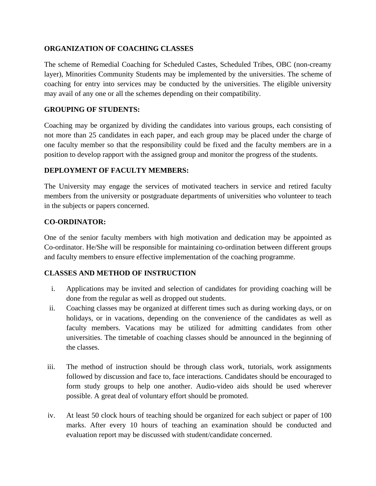### **ORGANIZATION OF COACHING CLASSES**

The scheme of Remedial Coaching for Scheduled Castes, Scheduled Tribes, OBC (non-creamy layer), Minorities Community Students may be implemented by the universities. The scheme of coaching for entry into services may be conducted by the universities. The eligible university may avail of any one or all the schemes depending on their compatibility.

### **GROUPING OF STUDENTS:**

Coaching may be organized by dividing the candidates into various groups, each consisting of not more than 25 candidates in each paper, and each group may be placed under the charge of one faculty member so that the responsibility could be fixed and the faculty members are in a position to develop rapport with the assigned group and monitor the progress of the students.

## **DEPLOYMENT OF FACULTY MEMBERS:**

The University may engage the services of motivated teachers in service and retired faculty members from the university or postgraduate departments of universities who volunteer to teach in the subjects or papers concerned.

## **CO-ORDINATOR:**

One of the senior faculty members with high motivation and dedication may be appointed as Co-ordinator. He/She will be responsible for maintaining co-ordination between different groups and faculty members to ensure effective implementation of the coaching programme.

### **CLASSES AND METHOD OF INSTRUCTION**

- i. Applications may be invited and selection of candidates for providing coaching will be done from the regular as well as dropped out students.
- ii. Coaching classes may be organized at different times such as during working days, or on holidays, or in vacations, depending on the convenience of the candidates as well as faculty members. Vacations may be utilized for admitting candidates from other universities. The timetable of coaching classes should be announced in the beginning of the classes.
- iii. The method of instruction should be through class work, tutorials, work assignments followed by discussion and face to, face interactions. Candidates should be encouraged to form study groups to help one another. Audio-video aids should be used wherever possible. A great deal of voluntary effort should be promoted.
- iv. At least 50 clock hours of teaching should be organized for each subject or paper of 100 marks. After every 10 hours of teaching an examination should be conducted and evaluation report may be discussed with student/candidate concerned.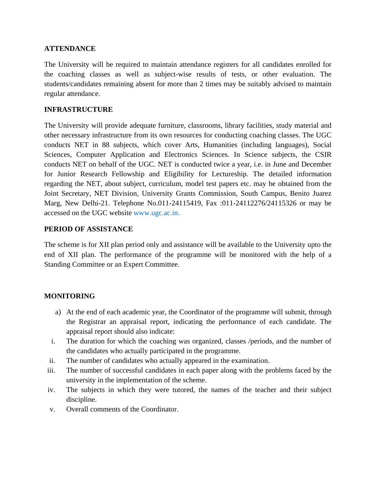### **ATTENDANCE**

The University will be required to maintain attendance registers for all candidates enrolled for the coaching classes as well as subject-wise results of tests, or other evaluation. The students/candidates remaining absent for more than 2 times may be suitably advised to maintain regular attendance.

#### **INFRASTRUCTURE**

The University will provide adequate furniture, classrooms, library facilities, study material and other necessary infrastructure from its own resources for conducting coaching classes. The UGC conducts NET in 88 subjects, which cover Arts, Humanities (including languages), Social Sciences, Computer Application and Electronics Sciences. In Science subjects, the CSIR conducts NET on behalf of the UGC. NET is conducted twice a year, i.e. in June and December for Junior Research Fellowship and Eligibility for Lectureship. The detailed information regarding the NET, about subject, curriculum, model test papers etc. may be obtained from the Joint Secretary, NET Division, University Grants Commission, South Campus, Benito Juarez Marg, New Delhi-21. Telephone No.011-24115419, Fax :011-24112276/24115326 or may be accessed on the UGC website www.ugc.ac.in.

#### **PERIOD OF ASSISTANCE**

The scheme is for XII plan period only and assistance will be available to the University upto the end of XII plan. The performance of the programme will be monitored with the help of a Standing Committee or an Expert Committee.

### **MONITORING**

- a) At the end of each academic year, the Coordinator of the programme will submit, through the Registrar an appraisal report, indicating the performance of each candidate. The appraisal report should also indicate:
- i. The duration for which the coaching was organized, classes /periods, and the number of the candidates who actually participated in the programme.
- ii. The number of candidates who actually appeared in the examination.
- iii. The number of successful candidates in each paper along with the problems faced by the university in the implementation of the scheme.
- iv. The subjects in which they were tutored, the names of the teacher and their subject discipline.
- v. Overall comments of the Coordinator.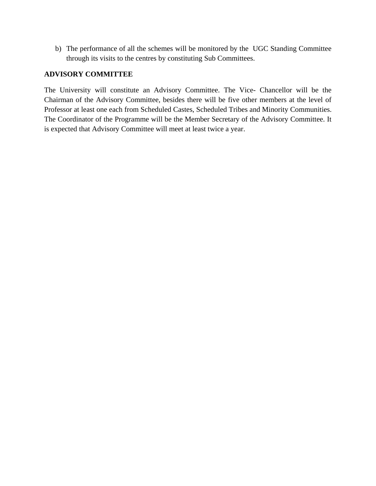b) The performance of all the schemes will be monitored by the UGC Standing Committee through its visits to the centres by constituting Sub Committees.

#### **ADVISORY COMMITTEE**

The University will constitute an Advisory Committee. The Vice- Chancellor will be the Chairman of the Advisory Committee, besides there will be five other members at the level of Professor at least one each from Scheduled Castes, Scheduled Tribes and Minority Communities. The Coordinator of the Programme will be the Member Secretary of the Advisory Committee. It is expected that Advisory Committee will meet at least twice a year.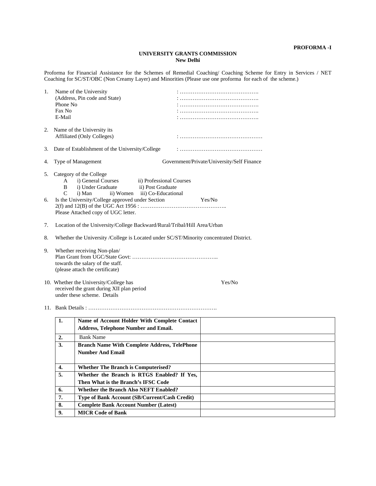#### **UNIVERSITY GRANTS COMMISSION New Delhi**

Proforma for Financial Assistance for the Schemes of Remedial Coaching/ Coaching Scheme for Entry in Services / NET Coaching for SC/ST/OBC (Non Creamy Layer) and Minorities (Please use one proforma for each of the scheme.)

| 1.       | Phone No<br>Fax No<br>E-Mail                                                                       | Name of the University<br>(Address, Pin code and State)                                                                                                                                                                      |  |  |        |  |  |  |  |  |
|----------|----------------------------------------------------------------------------------------------------|------------------------------------------------------------------------------------------------------------------------------------------------------------------------------------------------------------------------------|--|--|--------|--|--|--|--|--|
|          |                                                                                                    | 2. Name of the University its<br>Affiliated (Only Colleges)                                                                                                                                                                  |  |  |        |  |  |  |  |  |
| 3.       |                                                                                                    | Date of Establishment of the University/College                                                                                                                                                                              |  |  |        |  |  |  |  |  |
| 4.       |                                                                                                    | Type of Management<br>Government/Private/University/Self Finance                                                                                                                                                             |  |  |        |  |  |  |  |  |
| 5.<br>6. | A<br>B<br>C                                                                                        | Category of the College<br>i) General Courses<br>ii) Professional Courses<br>i) Under Graduate<br>ii) Post Graduate<br>i) Man<br>ii) Women iii) Co-Educational<br>Is the University/College approved under Section<br>Yes/No |  |  |        |  |  |  |  |  |
|          | Please Attached copy of UGC letter.                                                                |                                                                                                                                                                                                                              |  |  |        |  |  |  |  |  |
| 7.       | Location of the University/College Backward/Rural/Tribal/Hill Area/Urban                           |                                                                                                                                                                                                                              |  |  |        |  |  |  |  |  |
| 8.       | Whether the University /College is Located under SC/ST/Minority concentrated District.             |                                                                                                                                                                                                                              |  |  |        |  |  |  |  |  |
| 9.       | Whether receiving Non-plan/<br>towards the salary of the staff.<br>(please attach the certificate) |                                                                                                                                                                                                                              |  |  |        |  |  |  |  |  |
|          |                                                                                                    | 10. Whether the University/College has<br>received the grant during XII plan period<br>under these scheme. Details                                                                                                           |  |  | Yes/No |  |  |  |  |  |
|          |                                                                                                    |                                                                                                                                                                                                                              |  |  |        |  |  |  |  |  |
|          | 1.                                                                                                 | Name of Account Holder With Complete Contact<br><b>Address, Telephone Number and Email.</b>                                                                                                                                  |  |  |        |  |  |  |  |  |
|          | $\overline{2}$ .                                                                                   | <b>Bank Name</b>                                                                                                                                                                                                             |  |  |        |  |  |  |  |  |
|          | 3.                                                                                                 | <b>Branch Name With Complete Address, TelePhone</b>                                                                                                                                                                          |  |  |        |  |  |  |  |  |
|          |                                                                                                    | <b>Number And Email</b>                                                                                                                                                                                                      |  |  |        |  |  |  |  |  |
|          | 4.                                                                                                 | <b>Whether The Branch is Computerised?</b>                                                                                                                                                                                   |  |  |        |  |  |  |  |  |
|          | 5.                                                                                                 | Whether the Branch is RTGS Enabled? If Yes,                                                                                                                                                                                  |  |  |        |  |  |  |  |  |
|          |                                                                                                    | Then What is the Branch's IFSC Code                                                                                                                                                                                          |  |  |        |  |  |  |  |  |
|          | 6.                                                                                                 | <b>Whether the Branch Also NEFT Enabled?</b>                                                                                                                                                                                 |  |  |        |  |  |  |  |  |
|          | 7.                                                                                                 | Type of Bank Account (SB/Current/Cash Credit)                                                                                                                                                                                |  |  |        |  |  |  |  |  |
|          | 8.                                                                                                 | <b>Complete Bank Account Number (Latest)</b>                                                                                                                                                                                 |  |  |        |  |  |  |  |  |
|          | 9.                                                                                                 | <b>MICR Code of Bank</b>                                                                                                                                                                                                     |  |  |        |  |  |  |  |  |
|          |                                                                                                    |                                                                                                                                                                                                                              |  |  |        |  |  |  |  |  |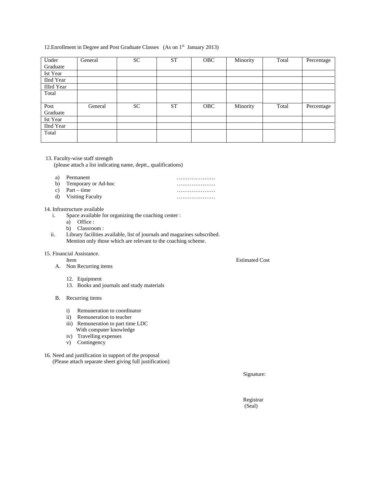#### 12. Enrollment in Degree and Post Graduate Classes (As on 1<sup>st</sup> January 2013)

| Under             | General | <b>SC</b> | <b>ST</b> | <b>OBC</b> | Minority | Total | Percentage |
|-------------------|---------|-----------|-----------|------------|----------|-------|------------|
| Graduate          |         |           |           |            |          |       |            |
| Ist Year          |         |           |           |            |          |       |            |
| <b>IInd Year</b>  |         |           |           |            |          |       |            |
| <b>IIIrd</b> Year |         |           |           |            |          |       |            |
| Total             |         |           |           |            |          |       |            |
|                   |         |           |           |            |          |       |            |
| Post              | General | <b>SC</b> | <b>ST</b> | <b>OBC</b> | Minority | Total | Percentage |
| Graduate          |         |           |           |            |          |       |            |
| Ist Year          |         |           |           |            |          |       |            |
| <b>IInd Year</b>  |         |           |           |            |          |       |            |
| Total             |         |           |           |            |          |       |            |
|                   |         |           |           |            |          |       |            |

#### 13. Faculty-wise staff strength

(please attach a list indicating name, deptt., qualifications)

- a) Permanent …………………
- b) Temporary or Ad-hoc ………………… c) Part – time …………………
- d) Visiting Faculty …………………

#### 14. Infrastructure available

- i. Space available for organizing the coaching center :
	- a) Office :
	- b) Classroom :
- ii. Library facilities available, list of journals and magazines subscribed. Mention only those which are relevant to the coaching scheme.

#### 15. Financial Assistance.

- A. Non Recurring items
	- 12. Equipment
	- 13. Books and journals and study materials

#### B. Recurring items

- i) Remuneration to coordinator
- ii) Remuneration to teacher
- iii) Remuneration to part time LDC With computer knowledge
- iv) Travelling expenses
- v) Contingency
- 16. Need and justification in support of the proposal (Please attach separate sheet giving full justification)

Signature:

 Registrar (Seal)

Item Estimated Cost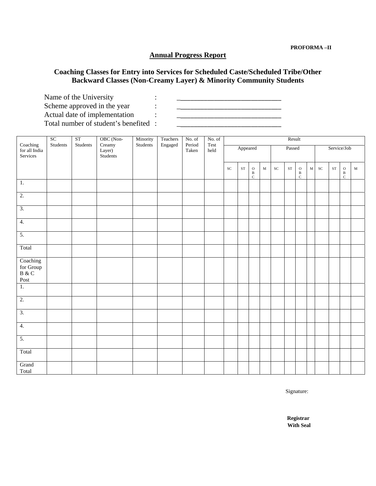## **Annual Progress Report**

## **Coaching Classes for Entry into Services for Scheduled Caste/Scheduled Tribe/Other Backward Classes (Non-Creamy Layer) & Minority Community Students**

Name of the University : Scheme approved in the year : \_\_\_\_\_\_\_\_\_\_\_\_\_\_\_\_\_\_\_\_\_\_\_\_\_\_\_\_\_\_\_ Actual date of implementation  $\qquad \qquad : \qquad \qquad \qquad \qquad \qquad \qquad \qquad \qquad \qquad \qquad$ Total number of student's benefited :

|                                                                                                                          | SC       | <b>ST</b> | OBC (Non-                    | Minority | Teachers | No. of          | No. of       | Result    |            |                                |             |               |                     |                                |             |             |            |                                         |             |
|--------------------------------------------------------------------------------------------------------------------------|----------|-----------|------------------------------|----------|----------|-----------------|--------------|-----------|------------|--------------------------------|-------------|---------------|---------------------|--------------------------------|-------------|-------------|------------|-----------------------------------------|-------------|
| Coaching<br>for all India<br>Services                                                                                    | Students | Students  | Creamy<br>Layer)<br>Students | Students | Engaged  | Period<br>Taken | Test<br>held |           | Appeared   |                                |             | Passed        |                     |                                |             | Service/Job |            |                                         |             |
|                                                                                                                          |          |           |                              |          |          |                 |              | <b>SC</b> | ${\rm ST}$ | $\rm{O}$<br>$_{\rm C}^{\rm B}$ | $\mathbf M$ | $\mathbf{SC}$ | $\operatorname{ST}$ | $\rm{O}$<br>$_{\rm C}^{\rm B}$ | $\mathbf M$ | <b>SC</b>   | ${\rm ST}$ | $\rm{O}$<br>$\, {\bf B}$<br>$\mathbf C$ | $\mathbf M$ |
| $\mathbf{1}$ .                                                                                                           |          |           |                              |          |          |                 |              |           |            |                                |             |               |                     |                                |             |             |            |                                         |             |
| $\overline{2}$ .                                                                                                         |          |           |                              |          |          |                 |              |           |            |                                |             |               |                     |                                |             |             |            |                                         |             |
| $\overline{3}$ .                                                                                                         |          |           |                              |          |          |                 |              |           |            |                                |             |               |                     |                                |             |             |            |                                         |             |
| 4.                                                                                                                       |          |           |                              |          |          |                 |              |           |            |                                |             |               |                     |                                |             |             |            |                                         |             |
| $\overline{5}$ .                                                                                                         |          |           |                              |          |          |                 |              |           |            |                                |             |               |                     |                                |             |             |            |                                         |             |
| Total                                                                                                                    |          |           |                              |          |          |                 |              |           |            |                                |             |               |                     |                                |             |             |            |                                         |             |
| Coaching<br>for Group<br>B $\&$ C<br>$\operatorname*{Post}% \left( X\right) \equiv\operatorname*{Post}\left( X\right) ,$ |          |           |                              |          |          |                 |              |           |            |                                |             |               |                     |                                |             |             |            |                                         |             |
| $\overline{1}$ .                                                                                                         |          |           |                              |          |          |                 |              |           |            |                                |             |               |                     |                                |             |             |            |                                         |             |
| $\overline{2}$ .                                                                                                         |          |           |                              |          |          |                 |              |           |            |                                |             |               |                     |                                |             |             |            |                                         |             |
| $\overline{3}$ .                                                                                                         |          |           |                              |          |          |                 |              |           |            |                                |             |               |                     |                                |             |             |            |                                         |             |
| $\overline{4}$ .                                                                                                         |          |           |                              |          |          |                 |              |           |            |                                |             |               |                     |                                |             |             |            |                                         |             |
| 5.                                                                                                                       |          |           |                              |          |          |                 |              |           |            |                                |             |               |                     |                                |             |             |            |                                         |             |
| Total                                                                                                                    |          |           |                              |          |          |                 |              |           |            |                                |             |               |                     |                                |             |             |            |                                         |             |
| Grand<br>Total                                                                                                           |          |           |                              |          |          |                 |              |           |            |                                |             |               |                     |                                |             |             |            |                                         |             |

Signature:

**Registrar With Seal**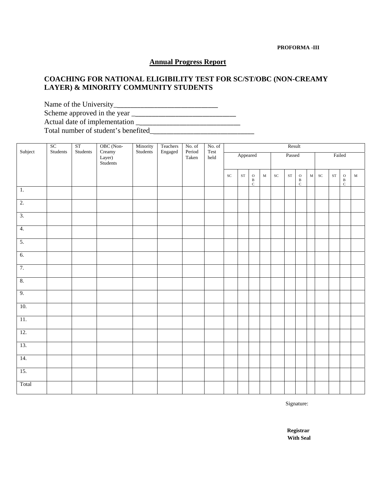#### **PROFORMA -III**

#### **Annual Progress Report**

### **COACHING FOR NATIONAL ELIGIBILITY TEST FOR SC/ST/OBC (NON-CREAMY LAYER) & MINORITY COMMUNITY STUDENTS**

Name of the University\_\_\_\_\_\_\_\_\_\_\_\_\_\_\_\_\_\_\_\_\_\_\_\_\_\_\_\_\_\_\_ Scheme approved in the year \_\_\_\_\_\_\_\_\_\_\_\_\_\_\_\_\_\_\_\_\_\_\_\_\_\_\_\_\_\_\_ Actual date of implementation \_\_\_\_\_\_\_\_\_\_\_\_\_\_\_\_\_\_\_\_\_\_\_\_\_\_\_\_\_\_\_ Total number of student's benefited\_\_\_\_\_\_\_\_\_\_\_\_\_\_\_\_\_\_\_\_\_\_\_\_\_\_\_\_\_\_\_

| Subject          | ${\rm SC}$<br>$\operatorname{\mathsf{Students}}$ | $\operatorname{ST}$<br>Students | OBC (Non-                    | Minority<br>Students | Teachers | No. of<br>Period | No. of<br>$\operatorname{\mathsf{Test}}$ | Result     |            |                   |             |            |            |                                                                       |             |            |            |                                                                       |             |
|------------------|--------------------------------------------------|---------------------------------|------------------------------|----------------------|----------|------------------|------------------------------------------|------------|------------|-------------------|-------------|------------|------------|-----------------------------------------------------------------------|-------------|------------|------------|-----------------------------------------------------------------------|-------------|
|                  |                                                  |                                 | Creamy<br>Layer)<br>Students |                      | Engaged  | Taken            | $_{\rm held}$                            | Appeared   |            |                   | Passed      |            |            |                                                                       | Failed      |            |            |                                                                       |             |
|                  |                                                  |                                 |                              |                      |          |                  |                                          | ${\rm SC}$ | ${\rm ST}$ | $\rm \frac{O}{C}$ | $\mathbf M$ | ${\rm SC}$ | ${\rm ST}$ | $\begin{array}{c} \texttt{O} \\ \texttt{B} \\ \texttt{C} \end{array}$ | $\mathbf M$ | ${\rm SC}$ | ${\rm ST}$ | $\begin{array}{c} \mathbf{O} \\ \mathbf{B} \\ \mathbf{C} \end{array}$ | $\mathbf M$ |
| $\overline{1}$ . |                                                  |                                 |                              |                      |          |                  |                                          |            |            |                   |             |            |            |                                                                       |             |            |            |                                                                       |             |
| $\overline{2}$ . |                                                  |                                 |                              |                      |          |                  |                                          |            |            |                   |             |            |            |                                                                       |             |            |            |                                                                       |             |
| $\overline{3}$ . |                                                  |                                 |                              |                      |          |                  |                                          |            |            |                   |             |            |            |                                                                       |             |            |            |                                                                       |             |
| 4.               |                                                  |                                 |                              |                      |          |                  |                                          |            |            |                   |             |            |            |                                                                       |             |            |            |                                                                       |             |
| $\overline{5}$ . |                                                  |                                 |                              |                      |          |                  |                                          |            |            |                   |             |            |            |                                                                       |             |            |            |                                                                       |             |
| 6.               |                                                  |                                 |                              |                      |          |                  |                                          |            |            |                   |             |            |            |                                                                       |             |            |            |                                                                       |             |
| 7.               |                                                  |                                 |                              |                      |          |                  |                                          |            |            |                   |             |            |            |                                                                       |             |            |            |                                                                       |             |
| 8.               |                                                  |                                 |                              |                      |          |                  |                                          |            |            |                   |             |            |            |                                                                       |             |            |            |                                                                       |             |
| 9.               |                                                  |                                 |                              |                      |          |                  |                                          |            |            |                   |             |            |            |                                                                       |             |            |            |                                                                       |             |
| 10.              |                                                  |                                 |                              |                      |          |                  |                                          |            |            |                   |             |            |            |                                                                       |             |            |            |                                                                       |             |
| $11. \,$         |                                                  |                                 |                              |                      |          |                  |                                          |            |            |                   |             |            |            |                                                                       |             |            |            |                                                                       |             |
| 12.              |                                                  |                                 |                              |                      |          |                  |                                          |            |            |                   |             |            |            |                                                                       |             |            |            |                                                                       |             |
| 13.              |                                                  |                                 |                              |                      |          |                  |                                          |            |            |                   |             |            |            |                                                                       |             |            |            |                                                                       |             |
| 14.              |                                                  |                                 |                              |                      |          |                  |                                          |            |            |                   |             |            |            |                                                                       |             |            |            |                                                                       |             |
| 15.              |                                                  |                                 |                              |                      |          |                  |                                          |            |            |                   |             |            |            |                                                                       |             |            |            |                                                                       |             |
| Total            |                                                  |                                 |                              |                      |          |                  |                                          |            |            |                   |             |            |            |                                                                       |             |            |            |                                                                       |             |

Signature:

**Registrar With Seal**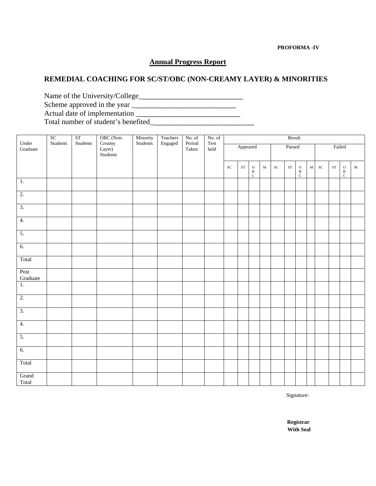#### **PROFORMA -IV**

#### **Annual Progress Report**

## **REMEDIAL COACHING FOR SC/ST/OBC (NON-CREAMY LAYER) & MINORITIES**

Name of the University/College\_\_\_\_\_\_\_\_\_\_\_\_\_\_\_\_\_\_\_\_\_\_\_\_\_\_\_\_\_\_\_ Scheme approved in the year \_\_\_\_\_\_\_\_\_\_\_\_\_\_\_\_\_\_\_\_\_\_\_\_\_\_\_\_\_\_\_ Actual date of implementation \_\_\_\_\_\_\_\_\_\_\_\_\_\_\_\_\_\_\_\_\_\_\_\_\_\_\_\_\_\_\_ Total number of student's benefited\_\_\_\_\_\_\_\_\_\_\_\_\_\_\_\_\_\_\_\_\_\_\_\_\_\_\_\_\_\_\_

|                   | ${\rm SC}$ | $\overline{\text{ST}}$ | OBC (Non-                    | Minority | Teachers | No. of          | No. of       | Result     |                       |                                |             |            |        |                                |             |            |            |                                    |             |
|-------------------|------------|------------------------|------------------------------|----------|----------|-----------------|--------------|------------|-----------------------|--------------------------------|-------------|------------|--------|--------------------------------|-------------|------------|------------|------------------------------------|-------------|
| Under<br>Graduate | Students   | Students               | Creamy<br>Layer)<br>Students | Students | Engaged  | Period<br>Taken | Test<br>held |            | Appeared              |                                |             |            | Passed |                                |             |            | Failed     |                                    |             |
|                   |            |                        |                              |          |          |                 |              | $\cal{SC}$ | $\operatorname{ST}^-$ | $\rm{O}$<br>$_{\rm C}^{\rm B}$ | $\mathbf M$ | ${\rm SC}$ | ST     | $\rm{O}$<br>$_{\rm C}^{\rm B}$ | $\mathbf M$ | ${\rm SC}$ | ${\rm ST}$ | $\,$ O<br>$\, {\bf B}$<br>$\rm{C}$ | $\mathbf M$ |
| 1.                |            |                        |                              |          |          |                 |              |            |                       |                                |             |            |        |                                |             |            |            |                                    |             |
| $\overline{2}$ .  |            |                        |                              |          |          |                 |              |            |                       |                                |             |            |        |                                |             |            |            |                                    |             |
| $\overline{3}$ .  |            |                        |                              |          |          |                 |              |            |                       |                                |             |            |        |                                |             |            |            |                                    |             |
| $\overline{4}$ .  |            |                        |                              |          |          |                 |              |            |                       |                                |             |            |        |                                |             |            |            |                                    |             |
| 5.                |            |                        |                              |          |          |                 |              |            |                       |                                |             |            |        |                                |             |            |            |                                    |             |
| 6.                |            |                        |                              |          |          |                 |              |            |                       |                                |             |            |        |                                |             |            |            |                                    |             |
| Total             |            |                        |                              |          |          |                 |              |            |                       |                                |             |            |        |                                |             |            |            |                                    |             |
| Post<br>Graduate  |            |                        |                              |          |          |                 |              |            |                       |                                |             |            |        |                                |             |            |            |                                    |             |
| $\overline{1}$ .  |            |                        |                              |          |          |                 |              |            |                       |                                |             |            |        |                                |             |            |            |                                    |             |
| $\overline{2}$ .  |            |                        |                              |          |          |                 |              |            |                       |                                |             |            |        |                                |             |            |            |                                    |             |
| $\overline{3}$ .  |            |                        |                              |          |          |                 |              |            |                       |                                |             |            |        |                                |             |            |            |                                    |             |
| $\overline{4}$ .  |            |                        |                              |          |          |                 |              |            |                       |                                |             |            |        |                                |             |            |            |                                    |             |
| 5.                |            |                        |                              |          |          |                 |              |            |                       |                                |             |            |        |                                |             |            |            |                                    |             |
| 6.                |            |                        |                              |          |          |                 |              |            |                       |                                |             |            |        |                                |             |            |            |                                    |             |
| Total             |            |                        |                              |          |          |                 |              |            |                       |                                |             |            |        |                                |             |            |            |                                    |             |
| Grand<br>Total    |            |                        |                              |          |          |                 |              |            |                       |                                |             |            |        |                                |             |            |            |                                    |             |

Signature:

**Registrar With Seal**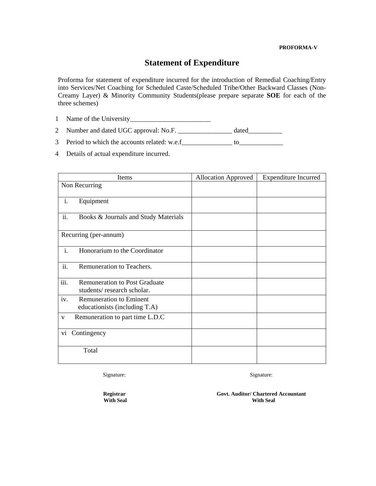#### **PROFORMA-V**

## **Statement of Expenditure**

Proforma for statement of expenditure incurred for the introduction of Remedial Coaching/Entry into Services/Net Coaching for Scheduled Caste/Scheduled Tribe/Other Backward Classes (Non-Creamy Layer) & Minority Community Students(please prepare separate **SOE** for each of the three schemes)

1 Name of the University\_\_\_\_\_\_\_\_\_\_\_\_\_\_\_\_\_\_\_\_\_\_\_\_

2 Number and dated UGC approval: No.F. \_\_\_\_\_\_\_\_\_\_\_\_\_\_\_\_\_\_\_\_\_ dated\_\_\_\_\_\_\_\_\_\_\_\_\_\_\_

3 Period to which the accounts related: w.e.f\_\_\_\_\_\_\_\_\_\_\_\_\_\_ to\_\_\_\_\_\_\_\_\_\_\_\_\_\_\_\_\_\_

4 Details of actual expenditure incurred.

|                | Items                                                              | <b>Allocation Approved</b> | <b>Expenditure Incurred</b> |
|----------------|--------------------------------------------------------------------|----------------------------|-----------------------------|
|                | Non Recurring                                                      |                            |                             |
| i.             | Equipment                                                          |                            |                             |
| ii.            | Books & Journals and Study Materials                               |                            |                             |
|                | Recurring (per-annum)                                              |                            |                             |
| $\mathbf{i}$ . | Honorarium to the Coordinator                                      |                            |                             |
| ii.            | Remuneration to Teachers.                                          |                            |                             |
| iii.           | <b>Remuneration to Post Graduate</b><br>students/research scholar. |                            |                             |
| iv.            | <b>Remuneration to Eminent</b><br>educationists (including T.A)    |                            |                             |
| $\mathbf V$    | Remuneration to part time L.D.C                                    |                            |                             |
| vi             | Contingency                                                        |                            |                             |
|                | Total                                                              |                            |                             |

Signature:

Signature:

**Registrar With Seal**  **Govt. Auditor/ Chartered Accountant With Seal**